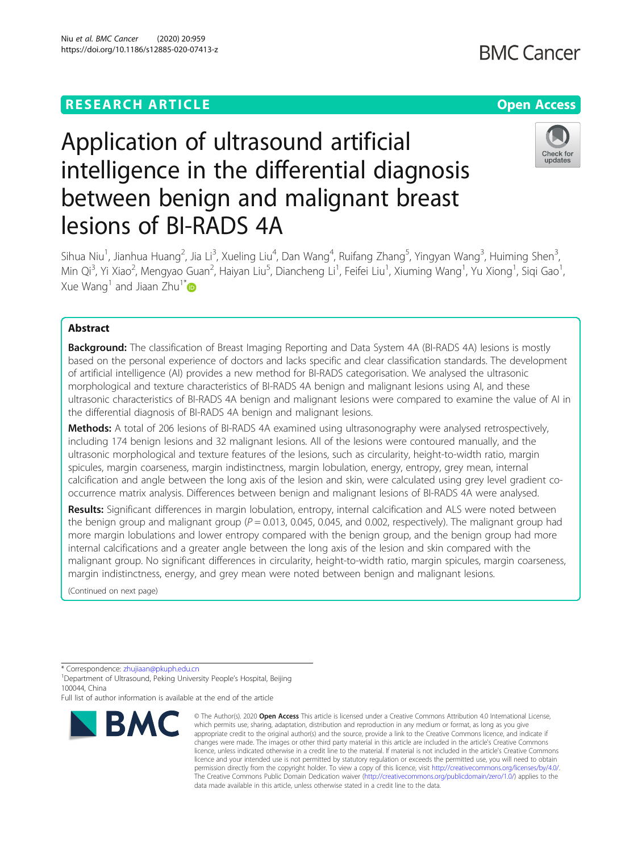# Niu et al. BMC Cancer (2020) 20:959 https://doi.org/10.1186/s12885-020-07413-z

# Application of ultrasound artificial intelligence in the differential diagnosis between benign and malignant breast lesions of BI-RADS 4A

Sihua Niu<sup>1</sup>, Jianhua Huang<sup>2</sup>, Jia Li<sup>3</sup>, Xueling Liu<sup>4</sup>, Dan Wang<sup>4</sup>, Ruifang Zhang<sup>5</sup>, Yingyan Wang<sup>3</sup>, Huiming Shen<sup>3</sup> , Min Qi<sup>3</sup>, Yi Xiao<sup>2</sup>, Mengyao Guan<sup>2</sup>, Haiyan Liu<sup>5</sup>, Diancheng Li<sup>1</sup>, Feifei Liu<sup>1</sup>, Xiuming Wang<sup>1</sup>, Yu Xiong<sup>1</sup>, Siqi Gao<sup>1</sup> , Xue Wang<sup>1</sup> and Jiaan Zhu<sup>1[\\*](http://orcid.org/0000-0001-8700-639X)</sup>

# Abstract

**Background:** The classification of Breast Imaging Reporting and Data System 4A (BI-RADS 4A) lesions is mostly based on the personal experience of doctors and lacks specific and clear classification standards. The development of artificial intelligence (AI) provides a new method for BI-RADS categorisation. We analysed the ultrasonic morphological and texture characteristics of BI-RADS 4A benign and malignant lesions using AI, and these ultrasonic characteristics of BI-RADS 4A benign and malignant lesions were compared to examine the value of AI in the differential diagnosis of BI-RADS 4A benign and malignant lesions.

Methods: A total of 206 lesions of BI-RADS 4A examined using ultrasonography were analysed retrospectively, including 174 benign lesions and 32 malignant lesions. All of the lesions were contoured manually, and the ultrasonic morphological and texture features of the lesions, such as circularity, height-to-width ratio, margin spicules, margin coarseness, margin indistinctness, margin lobulation, energy, entropy, grey mean, internal calcification and angle between the long axis of the lesion and skin, were calculated using grey level gradient cooccurrence matrix analysis. Differences between benign and malignant lesions of BI-RADS 4A were analysed.

Results: Significant differences in margin lobulation, entropy, internal calcification and ALS were noted between the benign group and malignant group ( $P = 0.013$ , 0.045, 0.045, and 0.002, respectively). The malignant group had more margin lobulations and lower entropy compared with the benign group, and the benign group had more internal calcifications and a greater angle between the long axis of the lesion and skin compared with the malignant group. No significant differences in circularity, height-to-width ratio, margin spicules, margin coarseness, margin indistinctness, energy, and grey mean were noted between benign and malignant lesions.

(Continued on next page)

\* Correspondence: [zhujiaan@pkuph.edu.cn](mailto:zhujiaan@pkuph.edu.cn) <sup>1</sup>

<sup>1</sup> Department of Ultrasound, Peking University People's Hospital, Beijing 100044, China

Full list of author information is available at the end of the article



<sup>©</sup> The Author(s), 2020 **Open Access** This article is licensed under a Creative Commons Attribution 4.0 International License, which permits use, sharing, adaptation, distribution and reproduction in any medium or format, as long as you give appropriate credit to the original author(s) and the source, provide a link to the Creative Commons licence, and indicate if changes were made. The images or other third party material in this article are included in the article's Creative Commons licence, unless indicated otherwise in a credit line to the material. If material is not included in the article's Creative Commons licence and your intended use is not permitted by statutory regulation or exceeds the permitted use, you will need to obtain permission directly from the copyright holder. To view a copy of this licence, visit [http://creativecommons.org/licenses/by/4.0/.](http://creativecommons.org/licenses/by/4.0/) The Creative Commons Public Domain Dedication waiver [\(http://creativecommons.org/publicdomain/zero/1.0/](http://creativecommons.org/publicdomain/zero/1.0/)) applies to the data made available in this article, unless otherwise stated in a credit line to the data.



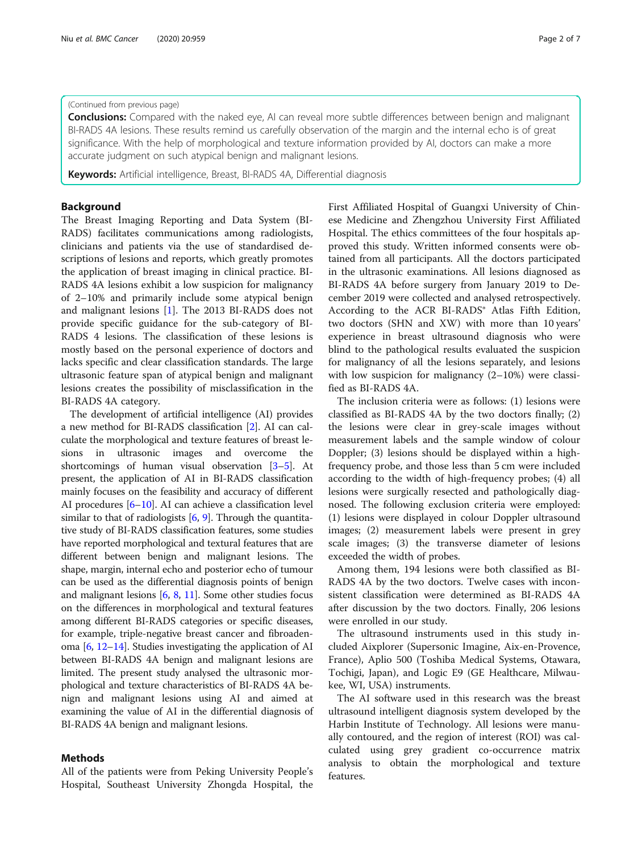# (Continued from previous page)

**Conclusions:** Compared with the naked eye, AI can reveal more subtle differences between benign and malignant BI-RADS 4A lesions. These results remind us carefully observation of the margin and the internal echo is of great significance. With the help of morphological and texture information provided by AI, doctors can make a more accurate judgment on such atypical benign and malignant lesions.

Keywords: Artificial intelligence, Breast, BI-RADS 4A, Differential diagnosis

# Background

The Breast Imaging Reporting and Data System (BI-RADS) facilitates communications among radiologists, clinicians and patients via the use of standardised descriptions of lesions and reports, which greatly promotes the application of breast imaging in clinical practice. BI-RADS 4A lesions exhibit a low suspicion for malignancy of 2–10% and primarily include some atypical benign and malignant lesions [[1\]](#page-6-0). The 2013 BI-RADS does not provide specific guidance for the sub-category of BI-RADS 4 lesions. The classification of these lesions is mostly based on the personal experience of doctors and lacks specific and clear classification standards. The large ultrasonic feature span of atypical benign and malignant lesions creates the possibility of misclassification in the BI-RADS 4A category.

The development of artificial intelligence (AI) provides a new method for BI-RADS classification [\[2](#page-6-0)]. AI can calculate the morphological and texture features of breast lesions in ultrasonic images and overcome the shortcomings of human visual observation [\[3](#page-6-0)–[5](#page-6-0)]. At present, the application of AI in BI-RADS classification mainly focuses on the feasibility and accuracy of different AI procedures [\[6](#page-6-0)–[10\]](#page-6-0). AI can achieve a classification level similar to that of radiologists  $[6, 9]$  $[6, 9]$  $[6, 9]$ . Through the quantitative study of BI-RADS classification features, some studies have reported morphological and textural features that are different between benign and malignant lesions. The shape, margin, internal echo and posterior echo of tumour can be used as the differential diagnosis points of benign and malignant lesions [\[6,](#page-6-0) [8,](#page-6-0) [11\]](#page-6-0). Some other studies focus on the differences in morphological and textural features among different BI-RADS categories or specific diseases, for example, triple-negative breast cancer and fibroadenoma [\[6,](#page-6-0) [12](#page-6-0)–[14\]](#page-6-0). Studies investigating the application of AI between BI-RADS 4A benign and malignant lesions are limited. The present study analysed the ultrasonic morphological and texture characteristics of BI-RADS 4A benign and malignant lesions using AI and aimed at examining the value of AI in the differential diagnosis of BI-RADS 4A benign and malignant lesions.

# Methods

All of the patients were from Peking University People's Hospital, Southeast University Zhongda Hospital, the First Affiliated Hospital of Guangxi University of Chinese Medicine and Zhengzhou University First Affiliated Hospital. The ethics committees of the four hospitals approved this study. Written informed consents were obtained from all participants. All the doctors participated in the ultrasonic examinations. All lesions diagnosed as BI-RADS 4A before surgery from January 2019 to December 2019 were collected and analysed retrospectively. According to the ACR BI-RADS® Atlas Fifth Edition, two doctors (SHN and XW) with more than 10 years' experience in breast ultrasound diagnosis who were blind to the pathological results evaluated the suspicion for malignancy of all the lesions separately, and lesions with low suspicion for malignancy (2–10%) were classified as BI-RADS 4A.

The inclusion criteria were as follows: (1) lesions were classified as BI-RADS 4A by the two doctors finally; (2) the lesions were clear in grey-scale images without measurement labels and the sample window of colour Doppler; (3) lesions should be displayed within a highfrequency probe, and those less than 5 cm were included according to the width of high-frequency probes; (4) all lesions were surgically resected and pathologically diagnosed. The following exclusion criteria were employed: (1) lesions were displayed in colour Doppler ultrasound images; (2) measurement labels were present in grey scale images; (3) the transverse diameter of lesions exceeded the width of probes.

Among them, 194 lesions were both classified as BI-RADS 4A by the two doctors. Twelve cases with inconsistent classification were determined as BI-RADS 4A after discussion by the two doctors. Finally, 206 lesions were enrolled in our study.

The ultrasound instruments used in this study included Aixplorer (Supersonic Imagine, Aix-en-Provence, France), Aplio 500 (Toshiba Medical Systems, Otawara, Tochigi, Japan), and Logic E9 (GE Healthcare, Milwaukee, WI, USA) instruments.

The AI software used in this research was the breast ultrasound intelligent diagnosis system developed by the Harbin Institute of Technology. All lesions were manually contoured, and the region of interest (ROI) was calculated using grey gradient co-occurrence matrix analysis to obtain the morphological and texture features.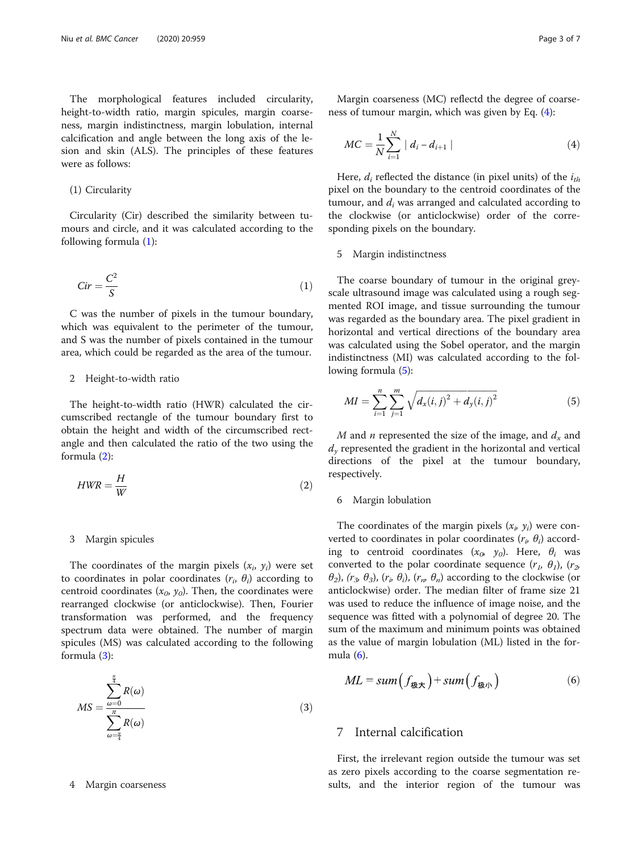The morphological features included circularity, height-to-width ratio, margin spicules, margin coarseness, margin indistinctness, margin lobulation, internal calcification and angle between the long axis of the lesion and skin (ALS). The principles of these features were as follows:

# (1) Circularity

Circularity (Cir) described the similarity between tumours and circle, and it was calculated according to the following formula (1):

$$
Cir = \frac{C^2}{S} \tag{1}
$$

C was the number of pixels in the tumour boundary, which was equivalent to the perimeter of the tumour, and S was the number of pixels contained in the tumour area, which could be regarded as the area of the tumour.

### 2 Height-to-width ratio

The height-to-width ratio (HWR) calculated the circumscribed rectangle of the tumour boundary first to obtain the height and width of the circumscribed rectangle and then calculated the ratio of the two using the formula (2):

$$
HWR = \frac{H}{W}
$$
 (2)

# 3 Margin spicules

The coordinates of the margin pixels  $(x_i, y_i)$  were set to coordinates in polar coordinates  $(r_i, \theta_i)$  according to centroid coordinates  $(x_0, y_0)$ . Then, the coordinates were rearranged clockwise (or anticlockwise). Then, Fourier transformation was performed, and the frequency spectrum data were obtained. The number of margin spicules (MS) was calculated according to the following formula (3):

$$
MS = \frac{\sum_{\omega=0}^{\frac{\pi}{4}} R(\omega)}{\sum_{\omega=\frac{\pi}{4}}^{\pi} R(\omega)}
$$
(3)

#### 4 Margin coarseness

Margin coarseness (MC) reflectd the degree of coarseness of tumour margin, which was given by Eq. (4):

$$
MC = \frac{1}{N} \sum_{i=1}^{N} |d_i - d_{i+1}|
$$
\n(4)

Here,  $d_i$  reflected the distance (in pixel units) of the  $i_{th}$ pixel on the boundary to the centroid coordinates of the tumour, and  $d_i$  was arranged and calculated according to the clockwise (or anticlockwise) order of the corresponding pixels on the boundary.

#### 5 Margin indistinctness

The coarse boundary of tumour in the original greyscale ultrasound image was calculated using a rough segmented ROI image, and tissue surrounding the tumour was regarded as the boundary area. The pixel gradient in horizontal and vertical directions of the boundary area was calculated using the Sobel operator, and the margin indistinctness (MI) was calculated according to the following formula (5):

$$
MI = \sum_{i=1}^{n} \sum_{j=1}^{m} \sqrt{d_x(i,j)^2 + d_y(i,j)^2}
$$
 (5)

M and *n* represented the size of the image, and  $d_x$  and  $d<sub>v</sub>$  represented the gradient in the horizontal and vertical directions of the pixel at the tumour boundary, respectively.

#### 6 Margin lobulation

The coordinates of the margin pixels  $(x_i, y_i)$  were converted to coordinates in polar coordinates  $(r_i, \theta_i)$  according to centroid coordinates  $(x_0, y_0)$ . Here,  $\theta_i$  was converted to the polar coordinate sequence  $(r_1, \theta_1)$ ,  $(r_2, \theta_2)$  $\theta_2$ ),  $(r_3, \theta_3)$ ,  $(r_p, \theta_i)$ ,  $(r_m, \theta_n)$  according to the clockwise (or anticlockwise) order. The median filter of frame size 21 was used to reduce the influence of image noise, and the sequence was fitted with a polynomial of degree 20. The sum of the maximum and minimum points was obtained as the value of margin lobulation (ML) listed in the formula (6).

$$
ML = sum(f_{\text{max}}) + sum(f_{\text{max}})
$$
 (6)

# 7 Internal calcification

First, the irrelevant region outside the tumour was set as zero pixels according to the coarse segmentation results, and the interior region of the tumour was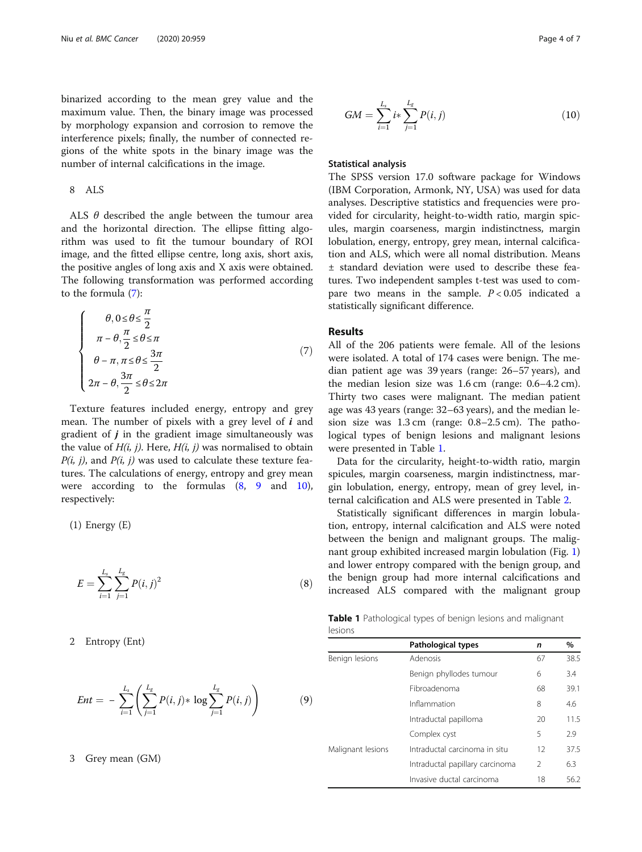binarized according to the mean grey value and the maximum value. Then, the binary image was processed by morphology expansion and corrosion to remove the interference pixels; finally, the number of connected regions of the white spots in the binary image was the number of internal calcifications in the image.

# 8 ALS

ALS  $\theta$  described the angle between the tumour area and the horizontal direction. The ellipse fitting algorithm was used to fit the tumour boundary of ROI image, and the fitted ellipse centre, long axis, short axis, the positive angles of long axis and X axis were obtained. The following transformation was performed according to the formula (7):

$$
\begin{cases}\n\theta, 0 \leq \theta \leq \frac{\pi}{2} \\
\pi - \theta, \frac{\pi}{2} \leq \theta \leq \pi \\
\theta - \pi, \pi \leq \theta \leq \frac{3\pi}{2} \\
2\pi - \theta, \frac{3\pi}{2} \leq \theta \leq 2\pi\n\end{cases}
$$
\n(7)

Texture features included energy, entropy and grey mean. The number of pixels with a grey level of  $i$  and gradient of  $j$  in the gradient image simultaneously was the value of  $H(i, j)$ . Here,  $H(i, j)$  was normalised to obtain  $P(i, j)$ , and  $P(i, j)$  was used to calculate these texture features. The calculations of energy, entropy and grey mean were according to the formulas (8, 9 and 10), respectively:

(1) Energy (E)

$$
E = \sum_{i=1}^{L_s} \sum_{j=1}^{L_g} P(i, j)^2
$$
 (8)

2 Entropy (Ent)

$$
Ent = -\sum_{i=1}^{L_s} \left( \sum_{j=1}^{L_g} P(i,j) * \log \sum_{j=1}^{L_g} P(i,j) \right) \tag{9}
$$

### 3 Grey mean (GM)

$$
GM = \sum_{i=1}^{L_s} i \ast \sum_{j=1}^{L_g} P(i, j)
$$
 (10)

# Statistical analysis

The SPSS version 17.0 software package for Windows (IBM Corporation, Armonk, NY, USA) was used for data analyses. Descriptive statistics and frequencies were provided for circularity, height-to-width ratio, margin spicules, margin coarseness, margin indistinctness, margin lobulation, energy, entropy, grey mean, internal calcification and ALS, which were all nomal distribution. Means ± standard deviation were used to describe these features. Two independent samples t-test was used to compare two means in the sample.  $P < 0.05$  indicated a statistically significant difference.

# Results

All of the 206 patients were female. All of the lesions were isolated. A total of 174 cases were benign. The median patient age was 39 years (range: 26–57 years), and the median lesion size was 1.6 cm (range: 0.6–4.2 cm). Thirty two cases were malignant. The median patient age was 43 years (range: 32–63 years), and the median lesion size was 1.3 cm (range: 0.8–2.5 cm). The pathological types of benign lesions and malignant lesions were presented in Table 1.

Data for the circularity, height-to-width ratio, margin spicules, margin coarseness, margin indistinctness, margin lobulation, energy, entropy, mean of grey level, internal calcification and ALS were presented in Table [2](#page-4-0).

Statistically significant differences in margin lobulation, entropy, internal calcification and ALS were noted between the benign and malignant groups. The malignant group exhibited increased margin lobulation (Fig. [1](#page-4-0)) and lower entropy compared with the benign group, and the benign group had more internal calcifications and increased ALS compared with the malignant group

Table 1 Pathological types of benign lesions and malignant lesions

|                   | Pathological types              | n              | %    |
|-------------------|---------------------------------|----------------|------|
| Benign lesions    | Adenosis                        | 67             | 38.5 |
|                   | Benign phyllodes tumour         | 6              | 3.4  |
|                   | Fibroadenoma                    | 68             | 39.1 |
|                   | Inflammation                    | 8              | 4.6  |
|                   | Intraductal papilloma           | 20             | 11.5 |
|                   | Complex cyst                    | 5              | 2.9  |
| Malignant lesions | Intraductal carcinoma in situ   | 12             | 37.5 |
|                   | Intraductal papillary carcinoma | $\mathfrak{D}$ | 6.3  |
|                   | Invasive ductal carcinoma       | 18             | 56.2 |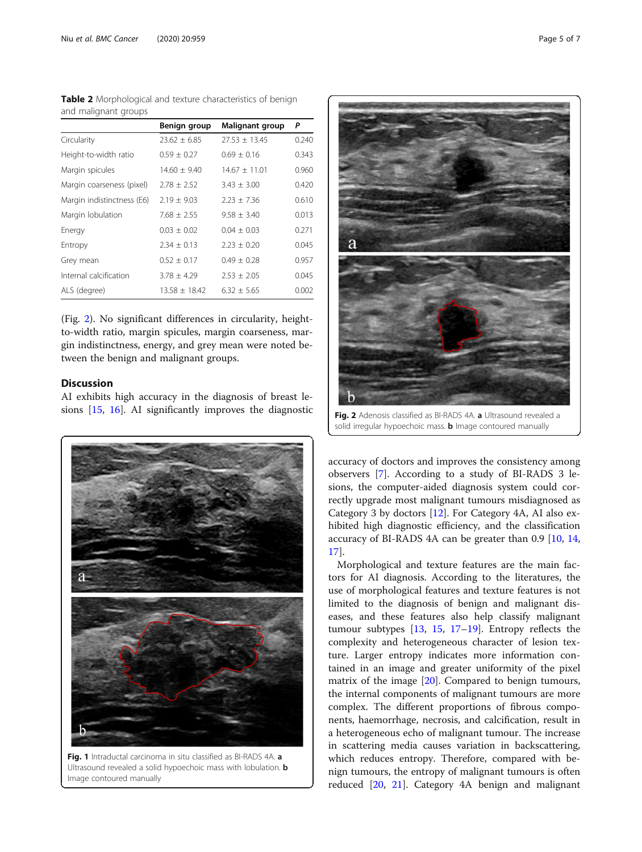<span id="page-4-0"></span>

| <b>Table 2</b> Morphological and texture characteristics of benign |  |  |
|--------------------------------------------------------------------|--|--|
| and malignant groups                                               |  |  |

|                            | Benign group      | Malignant group   | P     |
|----------------------------|-------------------|-------------------|-------|
| Circularity                | $23.62 \pm 6.85$  | $27.53 \pm 13.45$ | 0.240 |
| Height-to-width ratio      | $0.59 \pm 0.27$   | $0.69 \pm 0.16$   | 0.343 |
| Margin spicules            | $14.60 \pm 9.40$  | $14.67 \pm 11.01$ | 0.960 |
| Margin coarseness (pixel)  | $2.78 \pm 2.52$   | $3.43 \pm 3.00$   | 0.420 |
| Margin indistinctness (E6) | $2.19 \pm 9.03$   | $2.23 \pm 7.36$   | 0.610 |
| Margin lobulation          | $7.68 \pm 2.55$   | $9.58 \pm 3.40$   | 0.013 |
| Energy                     | $0.03 \pm 0.02$   | $0.04 \pm 0.03$   | 0.271 |
| Entropy                    | $2.34 \pm 0.13$   | $2.23 \pm 0.20$   | 0.045 |
| Grey mean                  | $0.52 \pm 0.17$   | $0.49 \pm 0.28$   | 0.957 |
| Internal calcification     | $3.78 \pm 4.29$   | $2.53 \pm 2.05$   | 0.045 |
| ALS (degree)               | $13.58 \pm 18.42$ | $6.32 + 5.65$     | 0.002 |

(Fig. 2). No significant differences in circularity, heightto-width ratio, margin spicules, margin coarseness, margin indistinctness, energy, and grey mean were noted between the benign and malignant groups.

# **Discussion**

AI exhibits high accuracy in the diagnosis of breast lesions [\[15,](#page-6-0) [16\]](#page-6-0). AI significantly improves the diagnostic



Fig. 1 Intraductal carcinoma in situ classified as BI-RADS 4A. a Ultrasound revealed a solid hypoechoic mass with lobulation. **b** Image contoured manually



Fig. 2 Adenosis classified as BI-RADS 4A. a Ultrasound revealed a solid irregular hypoechoic mass. **b** Image contoured manually

accuracy of doctors and improves the consistency among observers [\[7](#page-6-0)]. According to a study of BI-RADS 3 lesions, the computer-aided diagnosis system could correctly upgrade most malignant tumours misdiagnosed as Category 3 by doctors [[12](#page-6-0)]. For Category 4A, AI also exhibited high diagnostic efficiency, and the classification accuracy of BI-RADS 4A can be greater than 0.9 [[10](#page-6-0), [14](#page-6-0), [17\]](#page-6-0).

Morphological and texture features are the main factors for AI diagnosis. According to the literatures, the use of morphological features and texture features is not limited to the diagnosis of benign and malignant diseases, and these features also help classify malignant tumour subtypes  $[13, 15, 17-19]$  $[13, 15, 17-19]$  $[13, 15, 17-19]$  $[13, 15, 17-19]$  $[13, 15, 17-19]$  $[13, 15, 17-19]$  $[13, 15, 17-19]$  $[13, 15, 17-19]$ . Entropy reflects the complexity and heterogeneous character of lesion texture. Larger entropy indicates more information contained in an image and greater uniformity of the pixel matrix of the image [[20\]](#page-6-0). Compared to benign tumours, the internal components of malignant tumours are more complex. The different proportions of fibrous components, haemorrhage, necrosis, and calcification, result in a heterogeneous echo of malignant tumour. The increase in scattering media causes variation in backscattering, which reduces entropy. Therefore, compared with benign tumours, the entropy of malignant tumours is often reduced [\[20,](#page-6-0) [21](#page-6-0)]. Category 4A benign and malignant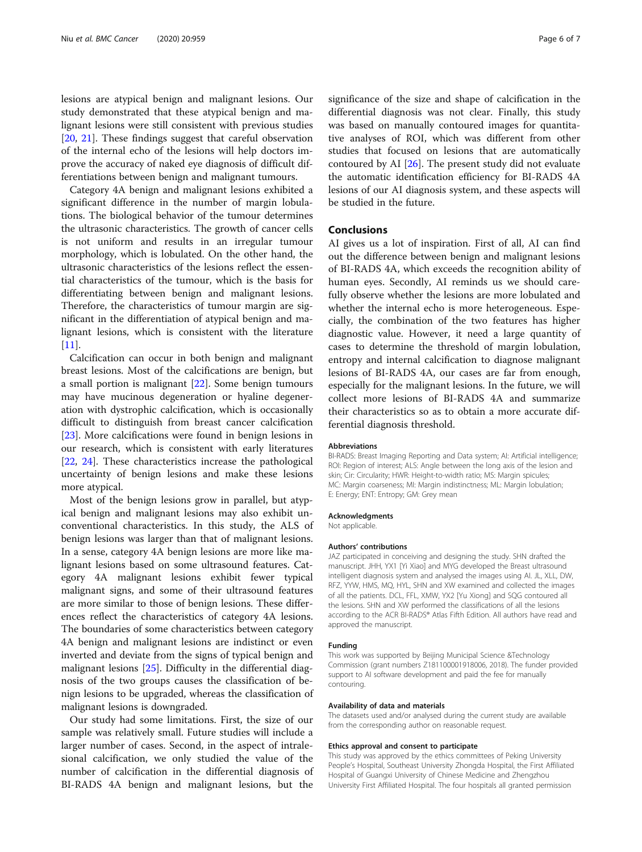lesions are atypical benign and malignant lesions. Our study demonstrated that these atypical benign and malignant lesions were still consistent with previous studies [[20,](#page-6-0) [21](#page-6-0)]. These findings suggest that careful observation of the internal echo of the lesions will help doctors improve the accuracy of naked eye diagnosis of difficult differentiations between benign and malignant tumours.

Category 4A benign and malignant lesions exhibited a significant difference in the number of margin lobulations. The biological behavior of the tumour determines the ultrasonic characteristics. The growth of cancer cells is not uniform and results in an irregular tumour morphology, which is lobulated. On the other hand, the ultrasonic characteristics of the lesions reflect the essential characteristics of the tumour, which is the basis for differentiating between benign and malignant lesions. Therefore, the characteristics of tumour margin are significant in the differentiation of atypical benign and malignant lesions, which is consistent with the literature [[11\]](#page-6-0).

Calcification can occur in both benign and malignant breast lesions. Most of the calcifications are benign, but a small portion is malignant [\[22](#page-6-0)]. Some benign tumours may have mucinous degeneration or hyaline degeneration with dystrophic calcification, which is occasionally difficult to distinguish from breast cancer calcification [[23\]](#page-6-0). More calcifications were found in benign lesions in our research, which is consistent with early literatures [[22,](#page-6-0) [24\]](#page-6-0). These characteristics increase the pathological uncertainty of benign lesions and make these lesions more atypical.

Most of the benign lesions grow in parallel, but atypical benign and malignant lesions may also exhibit unconventional characteristics. In this study, the ALS of benign lesions was larger than that of malignant lesions. In a sense, category 4A benign lesions are more like malignant lesions based on some ultrasound features. Category 4A malignant lesions exhibit fewer typical malignant signs, and some of their ultrasound features are more similar to those of benign lesions. These differences reflect the characteristics of category 4A lesions. The boundaries of some characteristics between category 4A benign and malignant lesions are indistinct or even inverted and deviate from the signs of typical benign and malignant lesions [\[25\]](#page-6-0). Difficulty in the differential diagnosis of the two groups causes the classification of benign lesions to be upgraded, whereas the classification of malignant lesions is downgraded.

Our study had some limitations. First, the size of our sample was relatively small. Future studies will include a larger number of cases. Second, in the aspect of intralesional calcification, we only studied the value of the number of calcification in the differential diagnosis of BI-RADS 4A benign and malignant lesions, but the significance of the size and shape of calcification in the differential diagnosis was not clear. Finally, this study was based on manually contoured images for quantitative analyses of ROI, which was different from other studies that focused on lesions that are automatically contoured by AI  $[26]$ . The present study did not evaluate the automatic identification efficiency for BI-RADS 4A lesions of our AI diagnosis system, and these aspects will be studied in the future.

### Conclusions

AI gives us a lot of inspiration. First of all, AI can find out the difference between benign and malignant lesions of BI-RADS 4A, which exceeds the recognition ability of human eyes. Secondly, AI reminds us we should carefully observe whether the lesions are more lobulated and whether the internal echo is more heterogeneous. Especially, the combination of the two features has higher diagnostic value. However, it need a large quantity of cases to determine the threshold of margin lobulation, entropy and internal calcification to diagnose malignant lesions of BI-RADS 4A, our cases are far from enough, especially for the malignant lesions. In the future, we will collect more lesions of BI-RADS 4A and summarize their characteristics so as to obtain a more accurate differential diagnosis threshold.

#### Abbreviations

BI-RADS: Breast Imaging Reporting and Data system; AI: Artificial intelligence; ROI: Region of interest; ALS: Angle between the long axis of the lesion and skin; Cir: Circularity; HWR: Height-to-width ratio; MS: Margin spicules; MC: Margin coarseness; MI: Margin indistinctness; ML: Margin lobulation; E: Energy; ENT: Entropy; GM: Grey mean

#### Acknowledgments

Not applicable.

#### Authors' contributions

JAZ participated in conceiving and designing the study. SHN drafted the manuscript. JHH, YX1 [Yi Xiao] and MYG developed the Breast ultrasound intelligent diagnosis system and analysed the images using AI. JL, XLL, DW, RFZ, YYW, HMS, MQ, HYL, SHN and XW examined and collected the images of all the patients. DCL, FFL, XMW, YX2 [Yu Xiong] and SQG contoured all the lesions. SHN and XW performed the classifications of all the lesions according to the ACR BI-RADS® Atlas Fifth Edition. All authors have read and approved the manuscript.

#### Funding

This work was supported by Beijing Municipal Science &Technology Commission (grant numbers Z181100001918006, 2018). The funder provided support to AI software development and paid the fee for manually contouring.

#### Availability of data and materials

The datasets used and/or analysed during the current study are available from the corresponding author on reasonable request.

#### Ethics approval and consent to participate

This study was approved by the ethics committees of Peking University People's Hospital, Southeast University Zhongda Hospital, the First Affiliated Hospital of Guangxi University of Chinese Medicine and Zhengzhou University First Affiliated Hospital. The four hospitals all granted permission